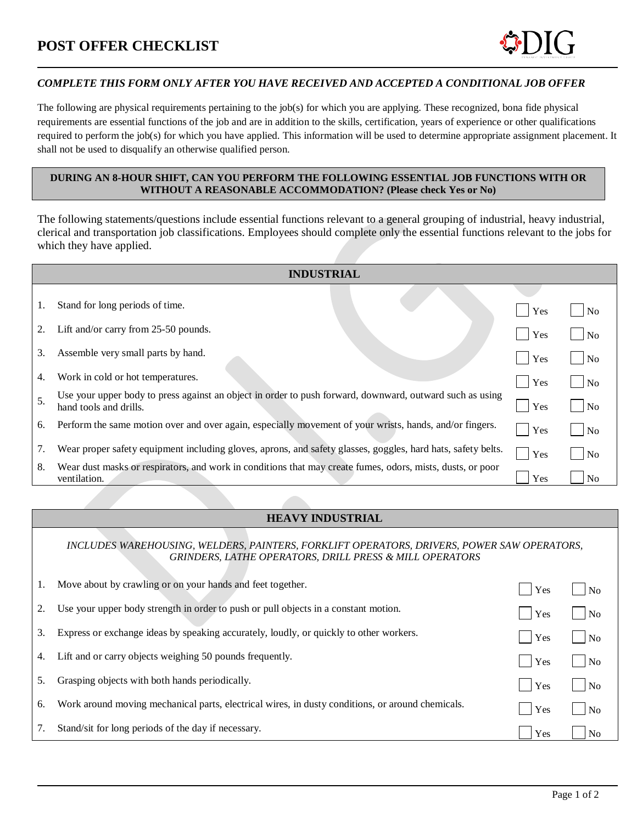## **POST OFFER CHECKLIST**

## *COMPLETE THIS FORM ONLY AFTER YOU HAVE RECEIVED AND ACCEPTED A CONDITIONAL JOB OFFER*

The following are physical requirements pertaining to the job(s) for which you are applying. These recognized, bona fide physical requirements are essential functions of the job and are in addition to the skills, certification, years of experience or other qualifications required to perform the job(s) for which you have applied. This information will be used to determine appropriate assignment placement. It shall not be used to disqualify an otherwise qualified person.

## **DURING AN 8-HOUR SHIFT, CAN YOU PERFORM THE FOLLOWING ESSENTIAL JOB FUNCTIONS WITH OR WITHOUT A REASONABLE ACCOMMODATION? (Please check Yes or No)**

The following statements/questions include essential functions relevant to a general grouping of industrial, heavy industrial, clerical and transportation job classifications. Employees should complete only the essential functions relevant to the jobs for which they have applied.

| <b>INDUSTRIAL</b> |                                                                                                                                    |     |                |  |  |  |
|-------------------|------------------------------------------------------------------------------------------------------------------------------------|-----|----------------|--|--|--|
|                   |                                                                                                                                    |     |                |  |  |  |
| 1.                | Stand for long periods of time.                                                                                                    | Yes | N <sub>0</sub> |  |  |  |
| 2.                | Lift and/or carry from 25-50 pounds.                                                                                               | Yes | No             |  |  |  |
| 3.                | Assemble very small parts by hand.                                                                                                 | Yes | N <sub>0</sub> |  |  |  |
| 4.                | Work in cold or hot temperatures.                                                                                                  | Yes | N <sub>o</sub> |  |  |  |
| 5.                | Use your upper body to press against an object in order to push forward, downward, outward such as using<br>hand tools and drills. | Yes | N <sub>o</sub> |  |  |  |
| 6.                | Perform the same motion over and over again, especially movement of your wrists, hands, and/or fingers.                            | Yes | N <sub>o</sub> |  |  |  |
| 7.                | Wear proper safety equipment including gloves, aprons, and safety glasses, goggles, hard hats, safety belts.                       | Yes | N <sub>o</sub> |  |  |  |
| 8.                | Wear dust masks or respirators, and work in conditions that may create fumes, odors, mists, dusts, or poor<br>ventilation.         | Yes | N <sub>0</sub> |  |  |  |

## **HEAVY INDUSTRIAL**

*INCLUDES WAREHOUSING, WELDERS, PAINTERS, FORKLIFT OPERATORS, DRIVERS, POWER SAW OPERATORS, GRINDERS, LATHE OPERATORS, DRILL PRESS & MILL OPERATORS*

| 1. | Move about by crawling or on your hands and feet together.                                       | Yes | N <sub>0</sub>     |
|----|--------------------------------------------------------------------------------------------------|-----|--------------------|
|    | Use your upper body strength in order to push or pull objects in a constant motion.              | Yes | $\overline{N}$     |
| 3. | Express or exchange ideas by speaking accurately, loudly, or quickly to other workers.           | Yes | $\overline{N}$     |
| 4. | Lift and or carry objects weighing 50 pounds frequently.                                         | Yes | $\overline{N}$     |
| 5. | Grasping objects with both hands periodically.                                                   | Yes | $\overline{N}$     |
| 6. | Work around moving mechanical parts, electrical wires, in dusty conditions, or around chemicals. | Yes | $\overline{\rm N}$ |
|    | Stand/sit for long periods of the day if necessary.                                              | Yes | N <sub>0</sub>     |